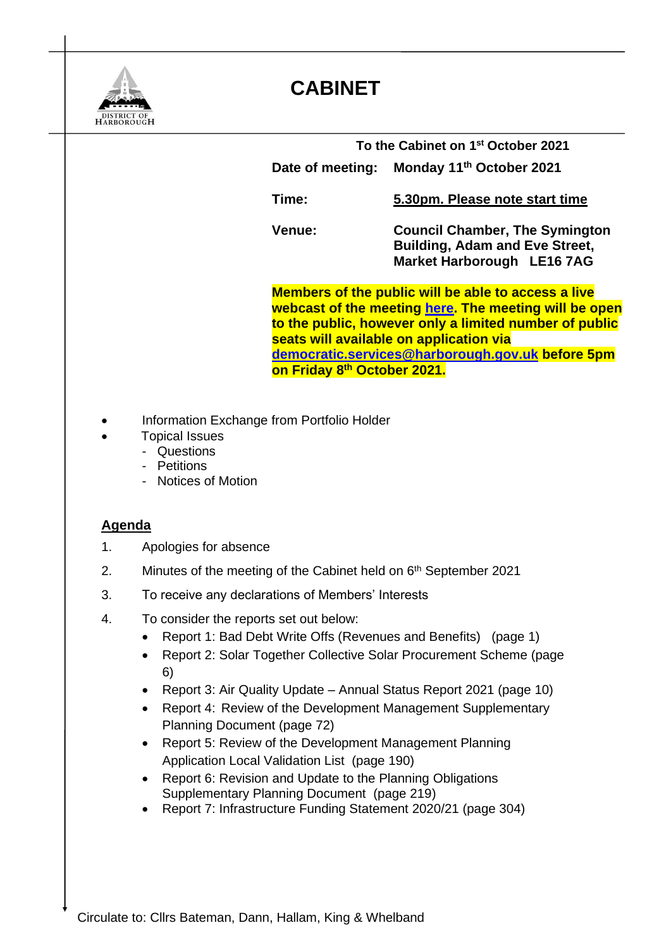

## **CABINET**

| To the Cabinet on 1 <sup>st</sup> October 2021 |                                                                                                              |
|------------------------------------------------|--------------------------------------------------------------------------------------------------------------|
| Date of meeting:                               | Monday 11 <sup>th</sup> October 2021                                                                         |
| Time:                                          | 5.30pm. Please note start time                                                                               |
| <b>Venue:</b>                                  | <b>Council Chamber, The Symington</b><br><b>Building, Adam and Eve Street,</b><br>Market Harborough LE16 7AG |

**Members of the public will be able to access a live webcast of the meeting [here.](https://cmis.harborough.gov.uk/cmis5/Meetings/tabid/73/ctl/ViewMeetingPublic/mid/410/Meeting/5611/Committee/807/SelectedTab/Documents/Default.aspx) The meeting will be open to the public, however only a limited number of public seats will available on application via [democratic.services@harborough.gov.uk](mailto:democratic.services@harborough.gov.uk) before 5pm on Friday 8 th October 2021.** 

- Information Exchange from Portfolio Holder
- Topical Issues
	- Questions
	- Petitions
	- **Notices of Motion**

## **Agenda**

- 1. Apologies for absence
- 2. Minutes of the meeting of the Cabinet held on 6<sup>th</sup> September 2021
- 3. To receive any declarations of Members' Interests
- 4. To consider the reports set out below:
	- Report 1: Bad Debt Write Offs (Revenues and Benefits) (page 1)
	- Report 2: Solar Together Collective Solar Procurement Scheme (page) 6)
	- Report 3: Air Quality Update Annual Status Report 2021 (page 10)
	- Report 4: Review of the Development Management Supplementary Planning Document (page 72)
	- Report 5: Review of the Development Management Planning Application Local Validation List (page 190)
	- Report 6: Revision and Update to the Planning Obligations Supplementary Planning Document (page 219)
	- Report 7: Infrastructure Funding Statement 2020/21 (page 304)